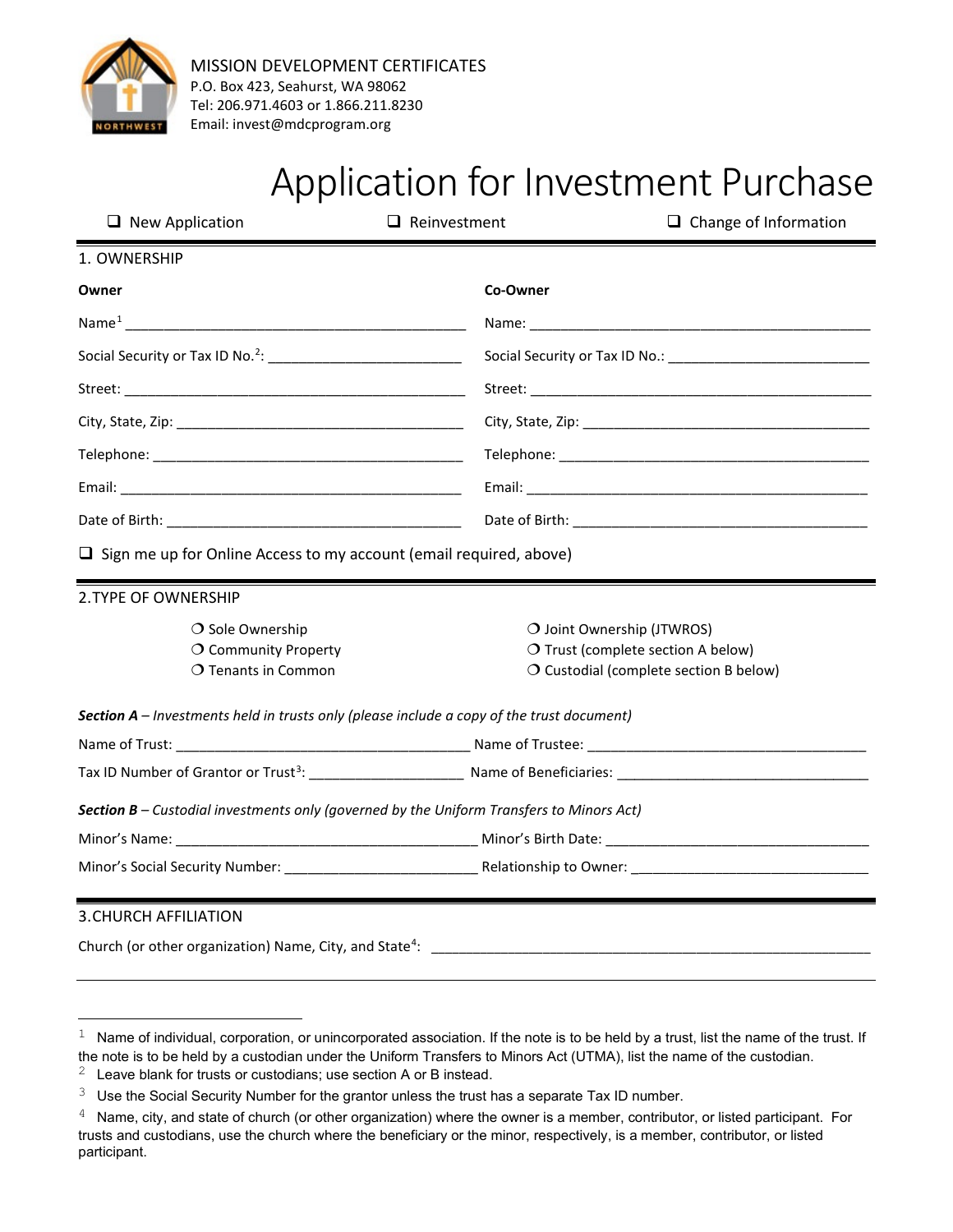

## Application for Investment Purchase

| $\Box$ New Application                                                                    | $\Box$ Change of Information<br>$\Box$ Reinvestment |  |
|-------------------------------------------------------------------------------------------|-----------------------------------------------------|--|
| 1. OWNERSHIP                                                                              |                                                     |  |
| Owner                                                                                     | Co-Owner                                            |  |
|                                                                                           |                                                     |  |
|                                                                                           |                                                     |  |
|                                                                                           |                                                     |  |
|                                                                                           |                                                     |  |
|                                                                                           |                                                     |  |
|                                                                                           |                                                     |  |
|                                                                                           |                                                     |  |
| $\Box$ Sign me up for Online Access to my account (email required, above)                 |                                                     |  |
| 2. TYPE OF OWNERSHIP                                                                      |                                                     |  |
| $\bigcirc$ Sole Ownership                                                                 | O Joint Ownership (JTWROS)                          |  |
| O Community Property                                                                      | O Trust (complete section A below)                  |  |
| O Tenants in Common                                                                       | O Custodial (complete section B below)              |  |
| Section A - Investments held in trusts only (please include a copy of the trust document) |                                                     |  |
|                                                                                           |                                                     |  |
|                                                                                           |                                                     |  |
| Section B - Custodial investments only (governed by the Uniform Transfers to Minors Act)  |                                                     |  |
|                                                                                           |                                                     |  |
|                                                                                           |                                                     |  |
|                                                                                           |                                                     |  |
| <b>3. CHURCH AFFILIATION</b>                                                              |                                                     |  |

Church (or other organization) Name, City, and Stat[e4](#page-0-3) : \_\_\_\_\_\_\_\_\_\_\_\_\_\_\_\_\_\_\_\_\_\_\_\_\_\_\_\_\_\_\_\_\_\_\_\_\_\_\_\_\_\_\_\_\_\_\_\_\_\_\_\_\_\_\_\_\_\_\_\_\_\_\_

<span id="page-0-0"></span> $1$  Name of individual, corporation, or unincorporated association. If the note is to be held by a trust, list the name of the trust. If the note is to be held by a custodian under the Uniform Transfers to Minors Act (UTMA), list the name of the custodian.

<span id="page-0-1"></span> $2$  Leave blank for trusts or custodians; use section A or B instead.

<span id="page-0-2"></span> $3$  Use the Social Security Number for the grantor unless the trust has a separate Tax ID number.

<span id="page-0-3"></span> $4$  Name, city, and state of church (or other organization) where the owner is a member, contributor, or listed participant. For trusts and custodians, use the church where the beneficiary or the minor, respectively, is a member, contributor, or listed participant.